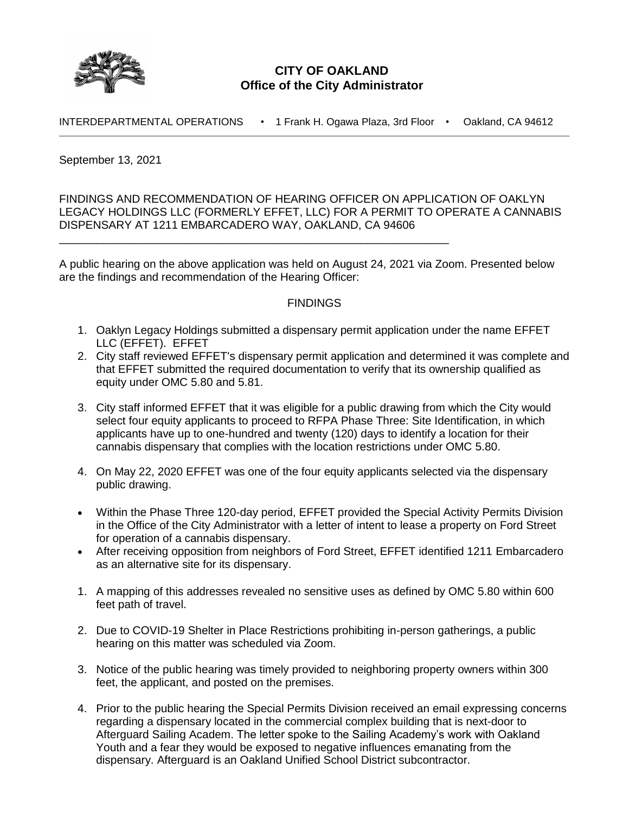

## **CITY OF OAKLAND Office of the City Administrator**

INTERDEPARTMENTAL OPERATIONS • 1 Frank H. Ogawa Plaza, 3rd Floor • Oakland, CA 94612

September 13, 2021

FINDINGS AND RECOMMENDATION OF HEARING OFFICER ON APPLICATION OF OAKLYN LEGACY HOLDINGS LLC (FORMERLY EFFET, LLC) FOR A PERMIT TO OPERATE A CANNABIS DISPENSARY AT 1211 EMBARCADERO WAY, OAKLAND, CA 94606

A public hearing on the above application was held on August 24, 2021 via Zoom. Presented below are the findings and recommendation of the Hearing Officer:

\_\_\_\_\_\_\_\_\_\_\_\_\_\_\_\_\_\_\_\_\_\_\_\_\_\_\_\_\_\_\_\_\_\_\_\_\_\_\_\_\_\_\_\_\_\_\_\_\_\_\_\_\_\_\_\_\_\_\_\_\_\_

## **FINDINGS**

- 1. Oaklyn Legacy Holdings submitted a dispensary permit application under the name EFFET LLC (EFFET). EFFET
- 2. City staff reviewed EFFET's dispensary permit application and determined it was complete and that EFFET submitted the required documentation to verify that its ownership qualified as equity under OMC 5.80 and 5.81.
- 3. City staff informed EFFET that it was eligible for a public drawing from which the City would select four equity applicants to proceed to RFPA Phase Three: Site Identification, in which applicants have up to one-hundred and twenty (120) days to identify a location for their cannabis dispensary that complies with the location restrictions under OMC 5.80.
- 4. On May 22, 2020 EFFET was one of the four equity applicants selected via the dispensary public drawing.
- Within the Phase Three 120-day period, EFFET provided the Special Activity Permits Division in the Office of the City Administrator with a letter of intent to lease a property on Ford Street for operation of a cannabis dispensary.
- After receiving opposition from neighbors of Ford Street, EFFET identified 1211 Embarcadero as an alternative site for its dispensary.
- 1. A mapping of this addresses revealed no sensitive uses as defined by OMC 5.80 within 600 feet path of travel.
- 2. Due to COVID-19 Shelter in Place Restrictions prohibiting in-person gatherings, a public hearing on this matter was scheduled via Zoom.
- 3. Notice of the public hearing was timely provided to neighboring property owners within 300 feet, the applicant, and posted on the premises.
- 4. Prior to the public hearing the Special Permits Division received an email expressing concerns regarding a dispensary located in the commercial complex building that is next-door to Afterguard Sailing Academ. The letter spoke to the Sailing Academy's work with Oakland Youth and a fear they would be exposed to negative influences emanating from the dispensary. Afterguard is an Oakland Unified School District subcontractor.